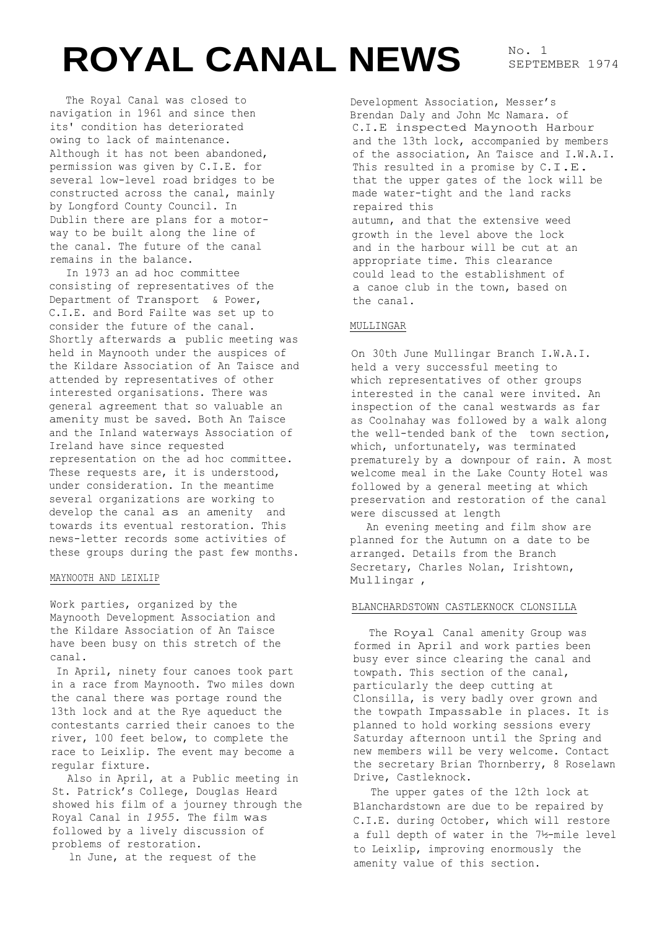# **ROYAL CANAL NEWS**

SEPTEMBER 1974

The Royal Canal was closed to navigation in 1961 and since then its' condition has deteriorated owing to lack of maintenance. Although it has not been abandoned, permission was given by C.I.E. for several low-level road bridges to be constructed across the canal, mainly by Longford County Council. In Dublin there are plans for a motorway to be built along the line of the canal. The future of the canal remains in the balance.

In 1973 an ad hoc committee consisting of representatives of the Department of Transport & Power, C.I.E. and Bord Failte was set up to consider the future of the canal. Shortly afterwards a public meeting was held in Maynooth under the auspices of the Kildare Association of An Taisce and attended by representatives of other interested organisations. There was general agreement that so valuable an amenity must be saved. Both An Taisce and the Inland waterways Association of Ireland have since requested representation on the ad hoc committee. These requests are, it is understood, under consideration. In the meantime several organizations are working to develop the canal as an amenity and towards its eventual restoration. This news-letter records some activities of these groups during the past few months.

## MAYNOOTH AND LEIXLIP

Work parties, organized by the Maynooth Development Association and the Kildare Association of An Taisce have been busy on this stretch of the canal.

In April, ninety four canoes took part in a race from Maynooth. Two miles down the canal there was portage round the 13th lock and at the Rye aqueduct the contestants carried their canoes to the river, 100 feet below, to complete the race to Leixlip. The event may become a regular fixture.

Also in April, at a Public meeting in St. Patrick's College, Douglas Heard showed his film of a journey through the Royal Canal in *1955.* The film was followed by a lively discussion of problems of restoration.

ln June, at the request of the

Development Association, Messer's Brendan Daly and John Mc Namara. of C.I.E inspected Maynooth Harbour and the 13th lock, accompanied by members of the association, An Taisce and I.W.A.I. This resulted in a promise by C.I.E. that the upper gates of the lock will be made water-tight and the land racks repaired this autumn, and that the extensive weed growth in the level above the lock and in the harbour will be cut at an appropriate time. This clearance could lead to the establishment of a canoe club in the town, based on the cana1.

## MULLINGAR

On 30th June Mullingar Branch I.W.A.I. held a very successful meeting to which representatives of other groups interested in the canal were invited. An inspection of the canal westwards as far as Coolnahay was followed by a walk along the well-tended bank of the town section, which, unfortunately, was terminated prematurely by a downpour of rain. A most welcome meal in the Lake County Hotel was followed by a general meeting at which preservation and restoration of the canal were discussed at length

An evening meeting and film show are planned for the Autumn on a date to be arranged. Details from the Branch Secretary, Charles Nolan, Irishtown, Mullingar ,

#### BLANCHARDSTOWN CASTLEKNOCK CLONSILLA

The Royal Canal amenity Group was formed in April and work parties been busy ever since clearing the canal and towpath. This section of the canal, particularly the deep cutting at Clonsilla, is very badly over grown and the towpath Impassable in places. It is planned to hold working sessions every Saturday afternoon until the Spring and new members will be very welcome. Contact the secretary Brian Thornberry, 8 Roselawn Drive, Castleknock.

The upper gates of the 12th lock at B1anchardstown are due to be repaired by C.I.E. during October, which will restore a full depth of water in the 7½-mile level to Leixlip, improving enormously the amenity value of this section.